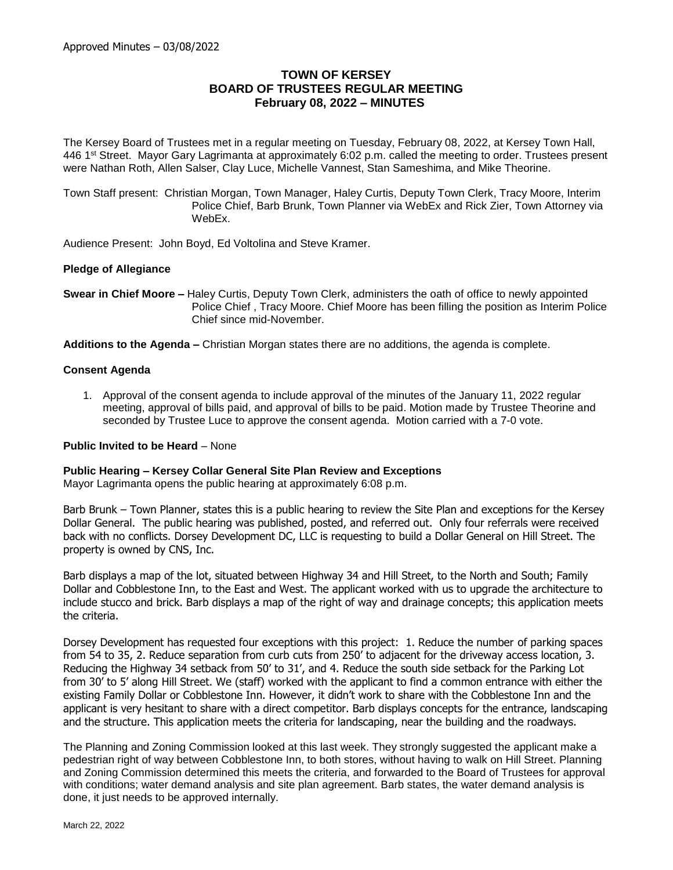# **TOWN OF KERSEY BOARD OF TRUSTEES REGULAR MEETING February 08, 2022 – MINUTES**

The Kersey Board of Trustees met in a regular meeting on Tuesday, February 08, 2022, at Kersey Town Hall, 446 1st Street. Mayor Gary Lagrimanta at approximately 6:02 p.m. called the meeting to order. Trustees present were Nathan Roth, Allen Salser, Clay Luce, Michelle Vannest, Stan Sameshima, and Mike Theorine.

Town Staff present: Christian Morgan, Town Manager, Haley Curtis, Deputy Town Clerk, Tracy Moore, Interim Police Chief, Barb Brunk, Town Planner via WebEx and Rick Zier, Town Attorney via WebEx.

Audience Present: John Boyd, Ed Voltolina and Steve Kramer.

### **Pledge of Allegiance**

**Swear in Chief Moore –** Haley Curtis, Deputy Town Clerk, administers the oath of office to newly appointed Police Chief , Tracy Moore. Chief Moore has been filling the position as Interim Police Chief since mid-November.

**Additions to the Agenda –** Christian Morgan states there are no additions, the agenda is complete.

### **Consent Agenda**

1. Approval of the consent agenda to include approval of the minutes of the January 11, 2022 regular meeting, approval of bills paid, and approval of bills to be paid. Motion made by Trustee Theorine and seconded by Trustee Luce to approve the consent agenda. Motion carried with a 7-0 vote.

### **Public Invited to be Heard** – None

### **Public Hearing – Kersey Collar General Site Plan Review and Exceptions**

Mayor Lagrimanta opens the public hearing at approximately 6:08 p.m.

Barb Brunk – Town Planner, states this is a public hearing to review the Site Plan and exceptions for the Kersey Dollar General. The public hearing was published, posted, and referred out. Only four referrals were received back with no conflicts. Dorsey Development DC, LLC is requesting to build a Dollar General on Hill Street. The property is owned by CNS, Inc.

Barb displays a map of the lot, situated between Highway 34 and Hill Street, to the North and South; Family Dollar and Cobblestone Inn, to the East and West. The applicant worked with us to upgrade the architecture to include stucco and brick. Barb displays a map of the right of way and drainage concepts; this application meets the criteria.

Dorsey Development has requested four exceptions with this project: 1. Reduce the number of parking spaces from 54 to 35, 2. Reduce separation from curb cuts from 250' to adjacent for the driveway access location, 3. Reducing the Highway 34 setback from 50' to 31', and 4. Reduce the south side setback for the Parking Lot from 30' to 5' along Hill Street. We (staff) worked with the applicant to find a common entrance with either the existing Family Dollar or Cobblestone Inn. However, it didn't work to share with the Cobblestone Inn and the applicant is very hesitant to share with a direct competitor. Barb displays concepts for the entrance, landscaping and the structure. This application meets the criteria for landscaping, near the building and the roadways.

The Planning and Zoning Commission looked at this last week. They strongly suggested the applicant make a pedestrian right of way between Cobblestone Inn, to both stores, without having to walk on Hill Street. Planning and Zoning Commission determined this meets the criteria, and forwarded to the Board of Trustees for approval with conditions; water demand analysis and site plan agreement. Barb states, the water demand analysis is done, it just needs to be approved internally.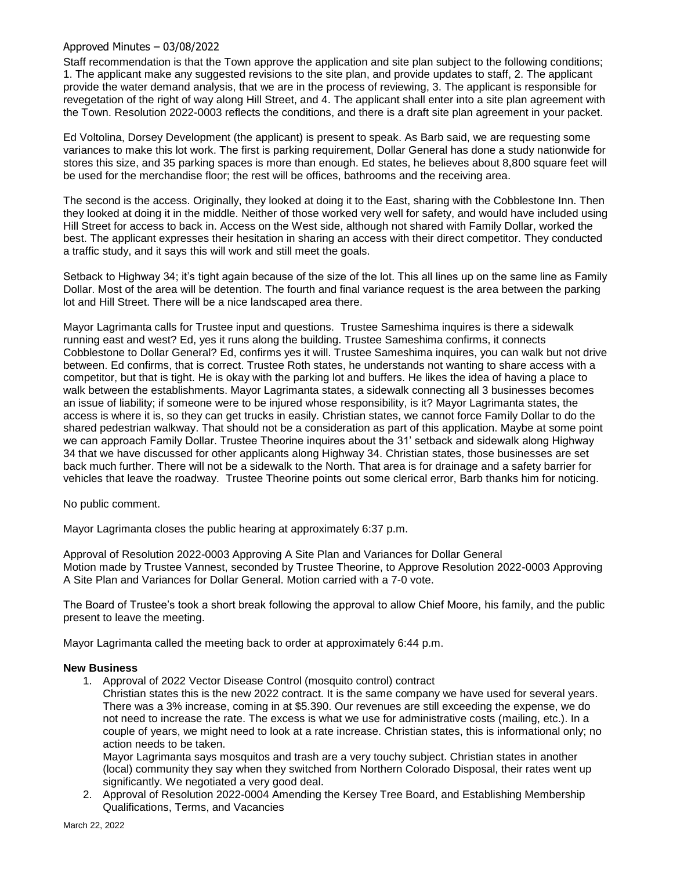### Approved Minutes – 03/08/2022

Staff recommendation is that the Town approve the application and site plan subject to the following conditions; 1. The applicant make any suggested revisions to the site plan, and provide updates to staff, 2. The applicant provide the water demand analysis, that we are in the process of reviewing, 3. The applicant is responsible for revegetation of the right of way along Hill Street, and 4. The applicant shall enter into a site plan agreement with the Town. Resolution 2022-0003 reflects the conditions, and there is a draft site plan agreement in your packet.

Ed Voltolina, Dorsey Development (the applicant) is present to speak. As Barb said, we are requesting some variances to make this lot work. The first is parking requirement, Dollar General has done a study nationwide for stores this size, and 35 parking spaces is more than enough. Ed states, he believes about 8,800 square feet will be used for the merchandise floor; the rest will be offices, bathrooms and the receiving area.

The second is the access. Originally, they looked at doing it to the East, sharing with the Cobblestone Inn. Then they looked at doing it in the middle. Neither of those worked very well for safety, and would have included using Hill Street for access to back in. Access on the West side, although not shared with Family Dollar, worked the best. The applicant expresses their hesitation in sharing an access with their direct competitor. They conducted a traffic study, and it says this will work and still meet the goals.

Setback to Highway 34; it's tight again because of the size of the lot. This all lines up on the same line as Family Dollar. Most of the area will be detention. The fourth and final variance request is the area between the parking lot and Hill Street. There will be a nice landscaped area there.

Mayor Lagrimanta calls for Trustee input and questions. Trustee Sameshima inquires is there a sidewalk running east and west? Ed, yes it runs along the building. Trustee Sameshima confirms, it connects Cobblestone to Dollar General? Ed, confirms yes it will. Trustee Sameshima inquires, you can walk but not drive between. Ed confirms, that is correct. Trustee Roth states, he understands not wanting to share access with a competitor, but that is tight. He is okay with the parking lot and buffers. He likes the idea of having a place to walk between the establishments. Mayor Lagrimanta states, a sidewalk connecting all 3 businesses becomes an issue of liability; if someone were to be injured whose responsibility, is it? Mayor Lagrimanta states, the access is where it is, so they can get trucks in easily. Christian states, we cannot force Family Dollar to do the shared pedestrian walkway. That should not be a consideration as part of this application. Maybe at some point we can approach Family Dollar. Trustee Theorine inquires about the 31' setback and sidewalk along Highway 34 that we have discussed for other applicants along Highway 34. Christian states, those businesses are set back much further. There will not be a sidewalk to the North. That area is for drainage and a safety barrier for vehicles that leave the roadway. Trustee Theorine points out some clerical error, Barb thanks him for noticing.

No public comment.

Mayor Lagrimanta closes the public hearing at approximately 6:37 p.m.

Approval of Resolution 2022-0003 Approving A Site Plan and Variances for Dollar General Motion made by Trustee Vannest, seconded by Trustee Theorine, to Approve Resolution 2022-0003 Approving A Site Plan and Variances for Dollar General. Motion carried with a 7-0 vote.

The Board of Trustee's took a short break following the approval to allow Chief Moore, his family, and the public present to leave the meeting.

Mayor Lagrimanta called the meeting back to order at approximately 6:44 p.m.

### **New Business**

1. Approval of 2022 Vector Disease Control (mosquito control) contract

Christian states this is the new 2022 contract. It is the same company we have used for several years. There was a 3% increase, coming in at \$5.390. Our revenues are still exceeding the expense, we do not need to increase the rate. The excess is what we use for administrative costs (mailing, etc.). In a couple of years, we might need to look at a rate increase. Christian states, this is informational only; no action needs to be taken.

Mayor Lagrimanta says mosquitos and trash are a very touchy subject. Christian states in another (local) community they say when they switched from Northern Colorado Disposal, their rates went up significantly. We negotiated a very good deal.

2. Approval of Resolution 2022-0004 Amending the Kersey Tree Board, and Establishing Membership Qualifications, Terms, and Vacancies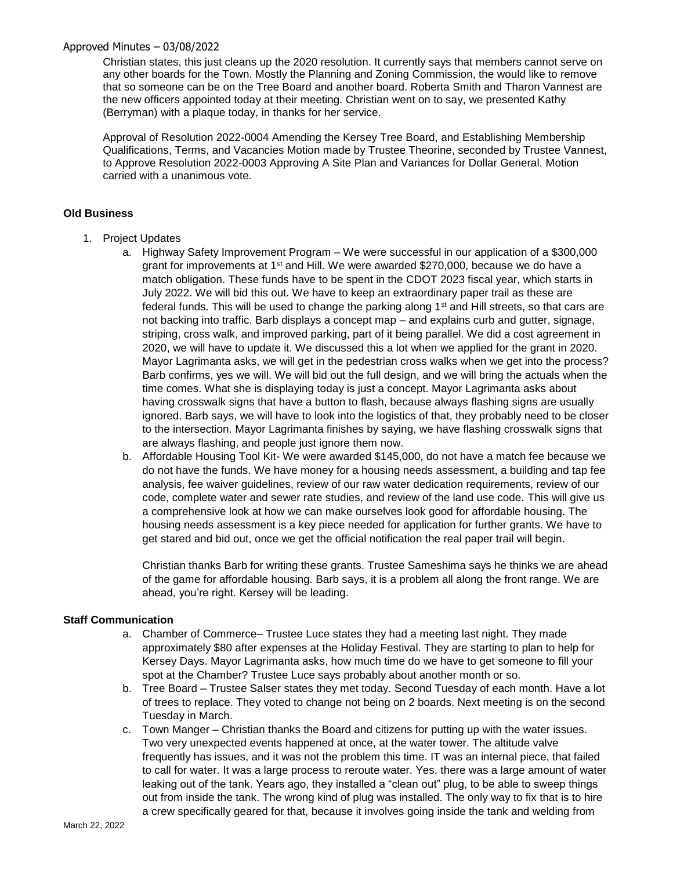### Approved Minutes – 03/08/2022

Christian states, this just cleans up the 2020 resolution. It currently says that members cannot serve on any other boards for the Town. Mostly the Planning and Zoning Commission, the would like to remove that so someone can be on the Tree Board and another board. Roberta Smith and Tharon Vannest are the new officers appointed today at their meeting. Christian went on to say, we presented Kathy (Berryman) with a plaque today, in thanks for her service.

Approval of Resolution 2022-0004 Amending the Kersey Tree Board, and Establishing Membership Qualifications, Terms, and Vacancies Motion made by Trustee Theorine, seconded by Trustee Vannest, to Approve Resolution 2022-0003 Approving A Site Plan and Variances for Dollar General. Motion carried with a unanimous vote.

## **Old Business**

- 1. Project Updates
	- a. Highway Safety Improvement Program We were successful in our application of a \$300,000 grant for improvements at 1<sup>st</sup> and Hill. We were awarded \$270,000, because we do have a match obligation. These funds have to be spent in the CDOT 2023 fiscal year, which starts in July 2022. We will bid this out. We have to keep an extraordinary paper trail as these are federal funds. This will be used to change the parking along  $1<sup>st</sup>$  and Hill streets, so that cars are not backing into traffic. Barb displays a concept map – and explains curb and gutter, signage, striping, cross walk, and improved parking, part of it being parallel. We did a cost agreement in 2020, we will have to update it. We discussed this a lot when we applied for the grant in 2020. Mayor Lagrimanta asks, we will get in the pedestrian cross walks when we get into the process? Barb confirms, yes we will. We will bid out the full design, and we will bring the actuals when the time comes. What she is displaying today is just a concept. Mayor Lagrimanta asks about having crosswalk signs that have a button to flash, because always flashing signs are usually ignored. Barb says, we will have to look into the logistics of that, they probably need to be closer to the intersection. Mayor Lagrimanta finishes by saying, we have flashing crosswalk signs that are always flashing, and people just ignore them now.
	- b. Affordable Housing Tool Kit- We were awarded \$145,000, do not have a match fee because we do not have the funds. We have money for a housing needs assessment, a building and tap fee analysis, fee waiver guidelines, review of our raw water dedication requirements, review of our code, complete water and sewer rate studies, and review of the land use code. This will give us a comprehensive look at how we can make ourselves look good for affordable housing. The housing needs assessment is a key piece needed for application for further grants. We have to get stared and bid out, once we get the official notification the real paper trail will begin.

Christian thanks Barb for writing these grants. Trustee Sameshima says he thinks we are ahead of the game for affordable housing. Barb says, it is a problem all along the front range. We are ahead, you're right. Kersey will be leading.

### **Staff Communication**

- a. Chamber of Commerce– Trustee Luce states they had a meeting last night. They made approximately \$80 after expenses at the Holiday Festival. They are starting to plan to help for Kersey Days. Mayor Lagrimanta asks, how much time do we have to get someone to fill your spot at the Chamber? Trustee Luce says probably about another month or so.
- b. Tree Board Trustee Salser states they met today. Second Tuesday of each month. Have a lot of trees to replace. They voted to change not being on 2 boards. Next meeting is on the second Tuesday in March.
- c. Town Manger Christian thanks the Board and citizens for putting up with the water issues. Two very unexpected events happened at once, at the water tower. The altitude valve frequently has issues, and it was not the problem this time. IT was an internal piece, that failed to call for water. It was a large process to reroute water. Yes, there was a large amount of water leaking out of the tank. Years ago, they installed a "clean out" plug, to be able to sweep things out from inside the tank. The wrong kind of plug was installed. The only way to fix that is to hire a crew specifically geared for that, because it involves going inside the tank and welding from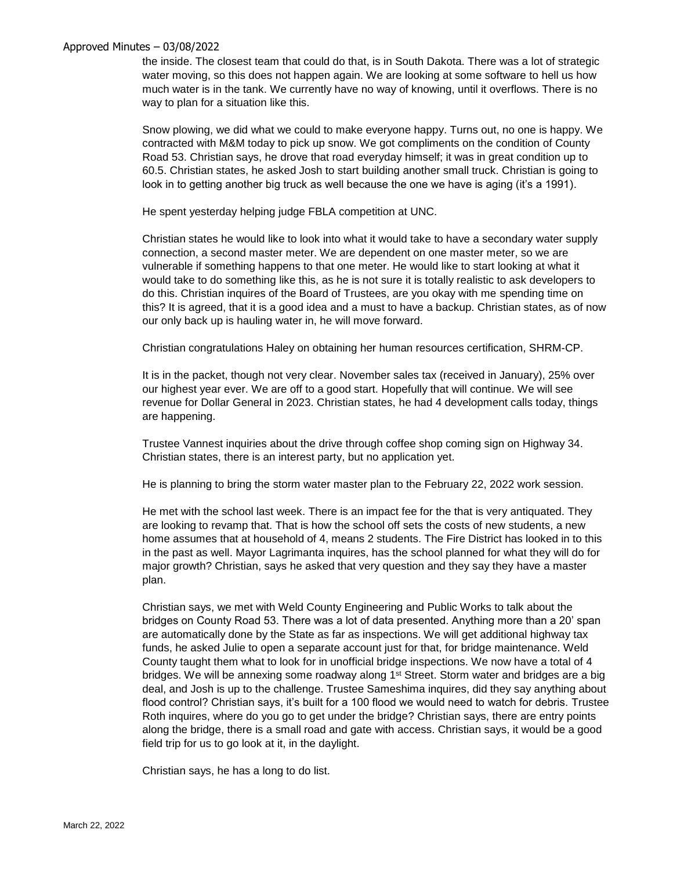### Approved Minutes – 03/08/2022

the inside. The closest team that could do that, is in South Dakota. There was a lot of strategic water moving, so this does not happen again. We are looking at some software to hell us how much water is in the tank. We currently have no way of knowing, until it overflows. There is no way to plan for a situation like this.

Snow plowing, we did what we could to make everyone happy. Turns out, no one is happy. We contracted with M&M today to pick up snow. We got compliments on the condition of County Road 53. Christian says, he drove that road everyday himself; it was in great condition up to 60.5. Christian states, he asked Josh to start building another small truck. Christian is going to look in to getting another big truck as well because the one we have is aging (it's a 1991).

He spent yesterday helping judge FBLA competition at UNC.

Christian states he would like to look into what it would take to have a secondary water supply connection, a second master meter. We are dependent on one master meter, so we are vulnerable if something happens to that one meter. He would like to start looking at what it would take to do something like this, as he is not sure it is totally realistic to ask developers to do this. Christian inquires of the Board of Trustees, are you okay with me spending time on this? It is agreed, that it is a good idea and a must to have a backup. Christian states, as of now our only back up is hauling water in, he will move forward.

Christian congratulations Haley on obtaining her human resources certification, SHRM-CP.

It is in the packet, though not very clear. November sales tax (received in January), 25% over our highest year ever. We are off to a good start. Hopefully that will continue. We will see revenue for Dollar General in 2023. Christian states, he had 4 development calls today, things are happening.

Trustee Vannest inquiries about the drive through coffee shop coming sign on Highway 34. Christian states, there is an interest party, but no application yet.

He is planning to bring the storm water master plan to the February 22, 2022 work session.

He met with the school last week. There is an impact fee for the that is very antiquated. They are looking to revamp that. That is how the school off sets the costs of new students, a new home assumes that at household of 4, means 2 students. The Fire District has looked in to this in the past as well. Mayor Lagrimanta inquires, has the school planned for what they will do for major growth? Christian, says he asked that very question and they say they have a master plan.

Christian says, we met with Weld County Engineering and Public Works to talk about the bridges on County Road 53. There was a lot of data presented. Anything more than a 20' span are automatically done by the State as far as inspections. We will get additional highway tax funds, he asked Julie to open a separate account just for that, for bridge maintenance. Weld County taught them what to look for in unofficial bridge inspections. We now have a total of 4 bridges. We will be annexing some roadway along 1<sup>st</sup> Street. Storm water and bridges are a big deal, and Josh is up to the challenge. Trustee Sameshima inquires, did they say anything about flood control? Christian says, it's built for a 100 flood we would need to watch for debris. Trustee Roth inquires, where do you go to get under the bridge? Christian says, there are entry points along the bridge, there is a small road and gate with access. Christian says, it would be a good field trip for us to go look at it, in the daylight.

Christian says, he has a long to do list.